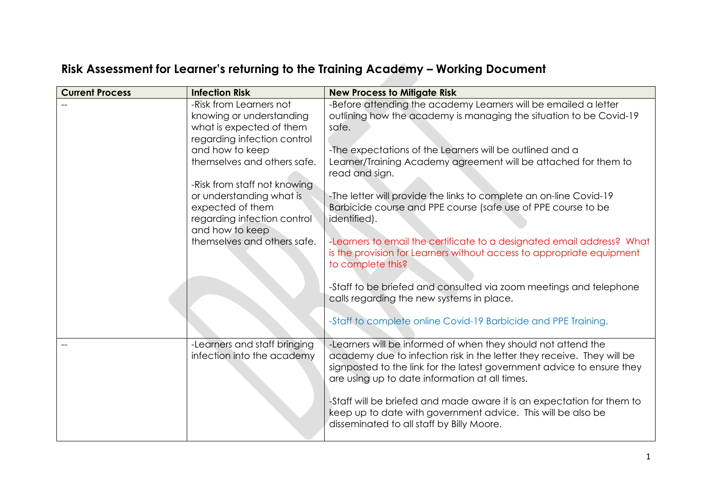| Risk Assessment for Learner's returning to the Training Academy - Working Document |  |  |  |
|------------------------------------------------------------------------------------|--|--|--|
|------------------------------------------------------------------------------------|--|--|--|

| <b>Current Process</b> | <b>Infection Risk</b>                                                                                                          | <b>New Process to Mitigate Risk</b>                                                                                                                                                                                                                                 |
|------------------------|--------------------------------------------------------------------------------------------------------------------------------|---------------------------------------------------------------------------------------------------------------------------------------------------------------------------------------------------------------------------------------------------------------------|
|                        | -Risk from Learners not<br>knowing or understanding<br>what is expected of them<br>regarding infection control                 | -Before attending the academy Learners will be emailed a letter<br>outlining how the academy is managing the situation to be Covid-19<br>safe.                                                                                                                      |
|                        | and how to keep<br>themselves and others safe.                                                                                 | -The expectations of the Learners will be outlined and a<br>Learner/Training Academy agreement will be attached for them to<br>read and sign.                                                                                                                       |
|                        | -Risk from staff not knowing<br>or understanding what is<br>expected of them<br>regarding infection control<br>and how to keep | -The letter will provide the links to complete an on-line Covid-19<br>Barbicide course and PPE course (safe use of PPE course to be<br>identified).                                                                                                                 |
|                        | themselves and others safe.                                                                                                    | -Learners to email the certificate to a designated email address? What<br>is the provision for Learners without access to appropriate equipment<br>to complete this?                                                                                                |
|                        |                                                                                                                                | -Staff to be briefed and consulted via zoom meetings and telephone<br>calls regarding the new systems in place.                                                                                                                                                     |
|                        |                                                                                                                                | -Staff to complete online Covid-19 Barbicide and PPE Training.                                                                                                                                                                                                      |
|                        | -Learners and staff bringing<br>infection into the academy                                                                     | -Learners will be informed of when they should not attend the<br>academy due to infection risk in the letter they receive. They will be<br>signposted to the link for the latest government advice to ensure they<br>are using up to date information at all times. |
|                        |                                                                                                                                | -Staff will be briefed and made aware it is an expectation for them to<br>keep up to date with government advice. This will be also be<br>disseminated to all staff by Billy Moore.                                                                                 |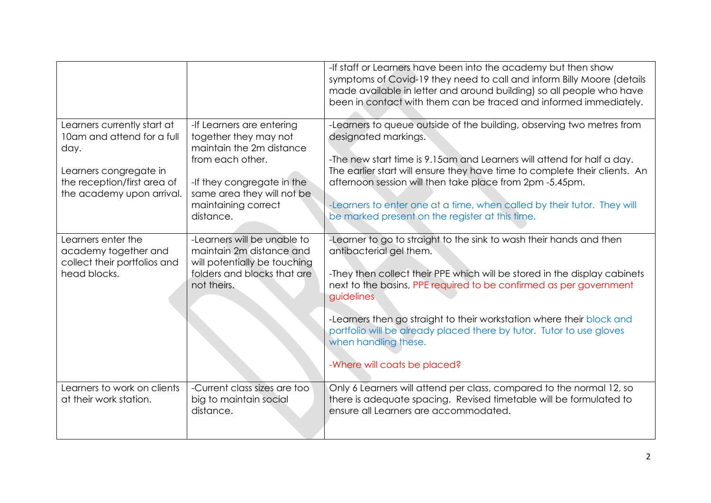|                                                                                                                                                         |                                                                                                                                                                                                    | -If staff or Learners have been into the academy but then show<br>symptoms of Covid-19 they need to call and inform Billy Moore (details<br>made available in letter and around building) so all people who have<br>been in contact with them can be traced and informed immediately.                                                                                                                                                                                    |
|---------------------------------------------------------------------------------------------------------------------------------------------------------|----------------------------------------------------------------------------------------------------------------------------------------------------------------------------------------------------|--------------------------------------------------------------------------------------------------------------------------------------------------------------------------------------------------------------------------------------------------------------------------------------------------------------------------------------------------------------------------------------------------------------------------------------------------------------------------|
| Learners currently start at<br>10am and attend for a full<br>day.<br>Learners congregate in<br>the reception/first area of<br>the academy upon arrival. | -If Learners are entering<br>together they may not<br>maintain the 2m distance<br>from each other.<br>-If they congregate in the<br>same area they will not be<br>maintaining correct<br>distance. | -Learners to queue outside of the building, observing two metres from<br>designated markings.<br>-The new start time is 9.15am and Learners will attend for half a day.<br>The earlier start will ensure they have time to complete their clients. An<br>afternoon session will then take place from 2pm -5.45pm.<br>-Learners to enter one at a time, when called by their tutor. They will<br>be marked present on the register at this time.                          |
| Learners enter the<br>academy together and<br>collect their portfolios and<br>head blocks.                                                              | -Learners will be unable to<br>maintain 2m distance and<br>will potentially be touching<br>folders and blocks that are<br>not theirs.                                                              | -Learner to go to straight to the sink to wash their hands and then<br>antibacterial gel them.<br>-They then collect their PPE which will be stored in the display cabinets<br>next to the basins, PPE required to be confirmed as per government<br>guidelines<br>-Learners then go straight to their workstation where their block and<br>portfolio will be already placed there by tutor. Tutor to use gloves<br>when handling these.<br>-Where will coats be placed? |
| Learners to work on clients<br>at their work station.                                                                                                   | -Current class sizes are too<br>big to maintain social<br>distance.                                                                                                                                | Only 6 Learners will attend per class, compared to the normal 12, so<br>there is adequate spacing. Revised timetable will be formulated to<br>ensure all Learners are accommodated.                                                                                                                                                                                                                                                                                      |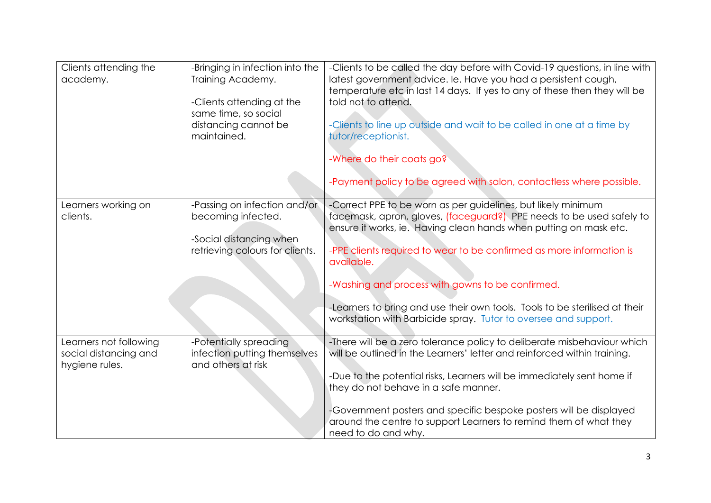| Clients attending the<br>academy.                                 | -Bringing in infection into the<br>Training Academy.<br>-Clients attending at the<br>same time, so social<br>distancing cannot be<br>maintained. | -Clients to be called the day before with Covid-19 questions, in line with<br>latest government advice. Ie. Have you had a persistent cough,<br>temperature etc in last 14 days. If yes to any of these then they will be<br>told not to attend.<br>-Clients to line up outside and wait to be called in one at a time by<br>tutor/receptionist.<br>-Where do their coats go?<br>-Payment policy to be agreed with salon, contactless where possible.                                                  |
|-------------------------------------------------------------------|--------------------------------------------------------------------------------------------------------------------------------------------------|--------------------------------------------------------------------------------------------------------------------------------------------------------------------------------------------------------------------------------------------------------------------------------------------------------------------------------------------------------------------------------------------------------------------------------------------------------------------------------------------------------|
| Learners working on<br>clients.                                   | -Passing on infection and/or<br>becoming infected.<br>-Social distancing when<br>retrieving colours for clients.                                 | -Correct PPE to be worn as per guidelines, but likely minimum<br>facemask, apron, gloves, (faceguard?) PPE needs to be used safely to<br>ensure it works, ie. Having clean hands when putting on mask etc.<br>-PPE clients required to wear to be confirmed as more information is<br>available.<br>-Washing and process with gowns to be confirmed.<br>-Learners to bring and use their own tools. Tools to be sterilised at their<br>workstation with Barbicide spray. Tutor to oversee and support. |
| Learners not following<br>social distancing and<br>hygiene rules. | -Potentially spreading<br>infection putting themselves<br>and others at risk                                                                     | -There will be a zero tolerance policy to deliberate misbehaviour which<br>will be outlined in the Learners' letter and reinforced within training.<br>-Due to the potential risks, Learners will be immediately sent home if<br>they do not behave in a safe manner.<br>-Government posters and specific bespoke posters will be displayed<br>around the centre to support Learners to remind them of what they<br>need to do and why.                                                                |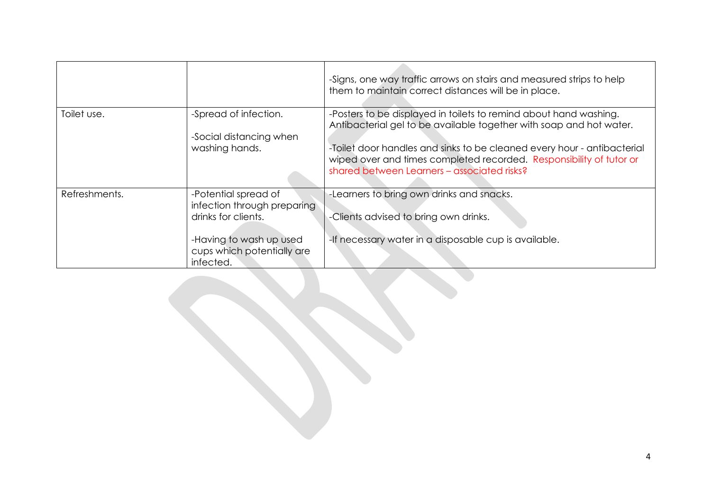|               |                                                                                                                                                  | -Signs, one way traffic arrows on stairs and measured strips to help<br>them to maintain correct distances will be in place.                                                                                                                                                                                                              |
|---------------|--------------------------------------------------------------------------------------------------------------------------------------------------|-------------------------------------------------------------------------------------------------------------------------------------------------------------------------------------------------------------------------------------------------------------------------------------------------------------------------------------------|
| Toilet use.   | -Spread of infection.<br>-Social distancing when<br>washing hands.                                                                               | -Posters to be displayed in toilets to remind about hand washing.<br>Antibacterial gel to be available together with soap and hot water.<br>-Toilet door handles and sinks to be cleaned every hour - antibacterial<br>wiped over and times completed recorded. Responsibility of tutor or<br>shared between Learners - associated risks? |
| Refreshments. | -Potential spread of<br>infection through preparing<br>drinks for clients.<br>-Having to wash up used<br>cups which potentially are<br>infected. | -Learners to bring own drinks and snacks.<br>-Clients advised to bring own drinks.<br>-If necessary water in a disposable cup is available.                                                                                                                                                                                               |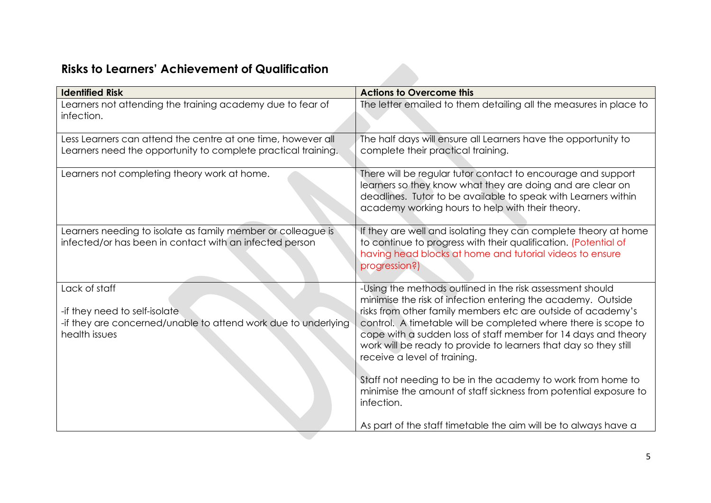## **Risks to Learners' Achievement of Qualification**

| <b>Identified Risk</b>                                                                                                            | <b>Actions to Overcome this</b>                                                                                                                                                                                                                                                                                                                                                                                                                                                                                                                                                    |
|-----------------------------------------------------------------------------------------------------------------------------------|------------------------------------------------------------------------------------------------------------------------------------------------------------------------------------------------------------------------------------------------------------------------------------------------------------------------------------------------------------------------------------------------------------------------------------------------------------------------------------------------------------------------------------------------------------------------------------|
| Learners not attending the training academy due to fear of<br>infection.                                                          | The letter emailed to them detailing all the measures in place to                                                                                                                                                                                                                                                                                                                                                                                                                                                                                                                  |
| Less Learners can attend the centre at one time, however all<br>Learners need the opportunity to complete practical training.     | The half days will ensure all Learners have the opportunity to<br>complete their practical training.                                                                                                                                                                                                                                                                                                                                                                                                                                                                               |
| Learners not completing theory work at home.                                                                                      | There will be regular tutor contact to encourage and support<br>learners so they know what they are doing and are clear on<br>deadlines. Tutor to be available to speak with Learners within<br>academy working hours to help with their theory.                                                                                                                                                                                                                                                                                                                                   |
| Learners needing to isolate as family member or colleague is<br>infected/or has been in contact with an infected person           | If they are well and isolating they can complete theory at home<br>to continue to progress with their qualification. (Potential of<br>having head blocks at home and tutorial videos to ensure<br>progression?)                                                                                                                                                                                                                                                                                                                                                                    |
| Lack of staff<br>-if they need to self-isolate<br>-if they are concerned/unable to attend work due to underlying<br>health issues | -Using the methods outlined in the risk assessment should<br>minimise the risk of infection entering the academy. Outside<br>risks from other family members etc are outside of academy's<br>control. A timetable will be completed where there is scope to<br>cope with a sudden loss of staff member for 14 days and theory<br>work will be ready to provide to learners that day so they still<br>receive a level of training.<br>Staff not needing to be in the academy to work from home to<br>minimise the amount of staff sickness from potential exposure to<br>infection. |
|                                                                                                                                   | As part of the staff timetable the aim will be to always have a                                                                                                                                                                                                                                                                                                                                                                                                                                                                                                                    |

**START COMPANY**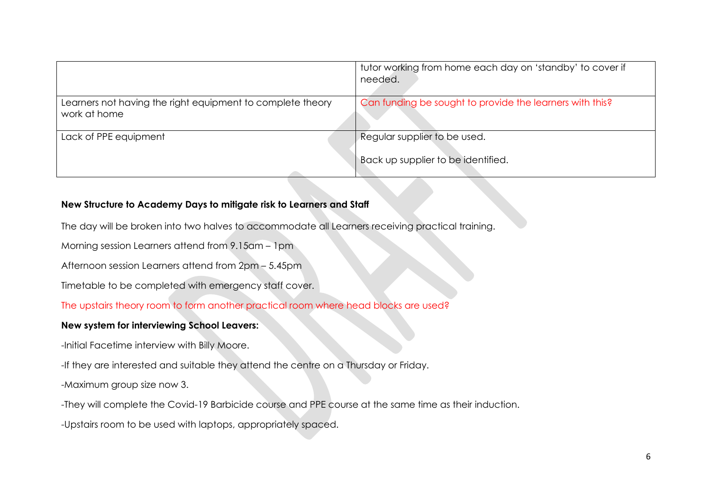|                                                                            | tutor working from home each day on 'standby' to cover if<br>needed. |
|----------------------------------------------------------------------------|----------------------------------------------------------------------|
| Learners not having the right equipment to complete theory<br>work at home | Can funding be sought to provide the learners with this?             |
| Lack of PPE equipment                                                      | Regular supplier to be used.<br>Back up supplier to be identified.   |
|                                                                            |                                                                      |

## **New Structure to Academy Days to mitigate risk to Learners and Staff**

The day will be broken into two halves to accommodate all Learners receiving practical training.

Morning session Learners attend from 9.15am – 1pm

Afternoon session Learners attend from 2pm – 5.45pm

Timetable to be completed with emergency staff cover.

The upstairs theory room to form another practical room where head blocks are used?

## **New system for interviewing School Leavers:**

-Initial Facetime interview with Billy Moore.

-If they are interested and suitable they attend the centre on a Thursday or Friday.

-Maximum group size now 3.

-They will complete the Covid-19 Barbicide course and PPE course at the same time as their induction.

-Upstairs room to be used with laptops, appropriately spaced.